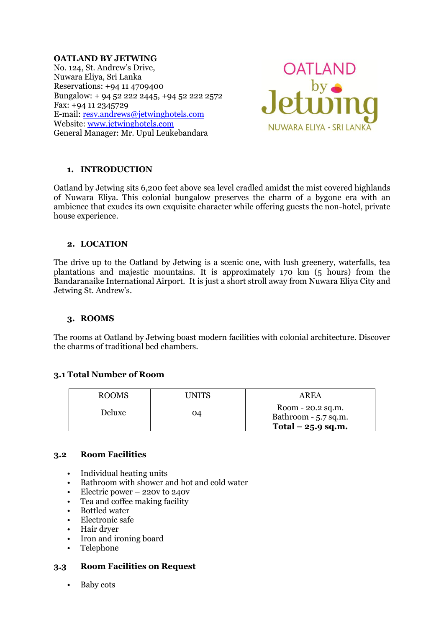#### **OATLAND BY JETWING**

No. 124, St. Andrew's Drive, Nuwara Eliya, Sri Lanka Reservations: +94 11 4709400 Bungalow: + 94 52 222 2445, +94 52 222 2572 Fax: +94 11 2345729 E-mail: [resv.andrews@jetwinghotels.com](mailto:resv.andrews@jetwinghotels.com) Website: [www.jetwinghotels.com](http://www.jetwinghotels.com/) General Manager: Mr. Upul Leukebandara



# **1. INTRODUCTION**

Oatland by Jetwing sits 6,200 feet above sea level cradled amidst the mist covered highlands of Nuwara Eliya. This colonial bungalow preserves the charm of a bygone era with an ambience that exudes its own exquisite character while offering guests the non-hotel, private house experience.

### **2. LOCATION**

The drive up to the Oatland by Jetwing is a scenic one, with lush greenery, waterfalls, tea plantations and majestic mountains. It is approximately 170 km (5 hours) from the Bandaranaike International Airport. It is just a short stroll away from Nuwara Eliya City and Jetwing St. Andrew's.

### **3. ROOMS**

The rooms at Oatland by Jetwing boast modern facilities with colonial architecture. Discover the charms of traditional bed chambers.

# **3.1 Total Number of Room**

| ROOMS  | UNITS | AREA                                                             |
|--------|-------|------------------------------------------------------------------|
| Deluxe | 04    | Room - 20.2 sq.m.<br>Bathroom - 5.7 sq.m.<br>Total $-25.9$ sq.m. |

### **3.2 Room Facilities**

- Individual heating units
- Bathroom with shower and hot and cold water
- Electric power 220v to 240v
- Tea and coffee making facility
- Bottled water
- Electronic safe
- Hair dryer
- Iron and ironing board
- Telephone

### **3.3 Room Facilities on Request**

• Baby cots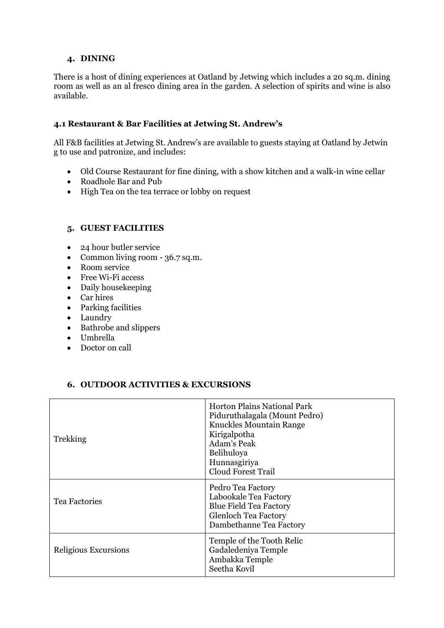### **4. DINING**

There is a host of dining experiences at Oatland by Jetwing which includes a 20 sq.m. dining room as well as an al fresco dining area in the garden. A selection of spirits and wine is also available.

# **4.1 Restaurant & Bar Facilities at Jetwing St. Andrew's**

All F&B facilities at Jetwing St. Andrew's are available to guests staying at Oatland by Jetwin g to use and patronize, and includes:

- Old Course Restaurant for fine dining, with a show kitchen and a walk-in wine cellar
- Roadhole Bar and Pub
- High Tea on the tea terrace or lobby on request

# **5. GUEST FACILITIES**

- 24 hour butler service
- Common living room 36.7 sq.m.
- Room service
- Free Wi-Fi access
- Daily housekeeping
- Car hires
- Parking facilities
- Laundry
- Bathrobe and slippers
- Umbrella
- Doctor on call

### **6. OUTDOOR ACTIVITIES & EXCURSIONS**

| Trekking             | <b>Horton Plains National Park</b><br>Piduruthalagala (Mount Pedro)<br>Knuckles Mountain Range<br>Kirigalpotha<br>Adam's Peak<br>Belihuloya<br>Hunnasgiriya<br><b>Cloud Forest Trail</b> |
|----------------------|------------------------------------------------------------------------------------------------------------------------------------------------------------------------------------------|
| <b>Tea Factories</b> | Pedro Tea Factory<br>Labookale Tea Factory<br><b>Blue Field Tea Factory</b><br><b>Glenloch Tea Factory</b><br>Dambethanne Tea Factory                                                    |
| Religious Excursions | Temple of the Tooth Relic<br>Gadaledeniya Temple<br>Ambakka Temple<br>Seetha Kovil                                                                                                       |